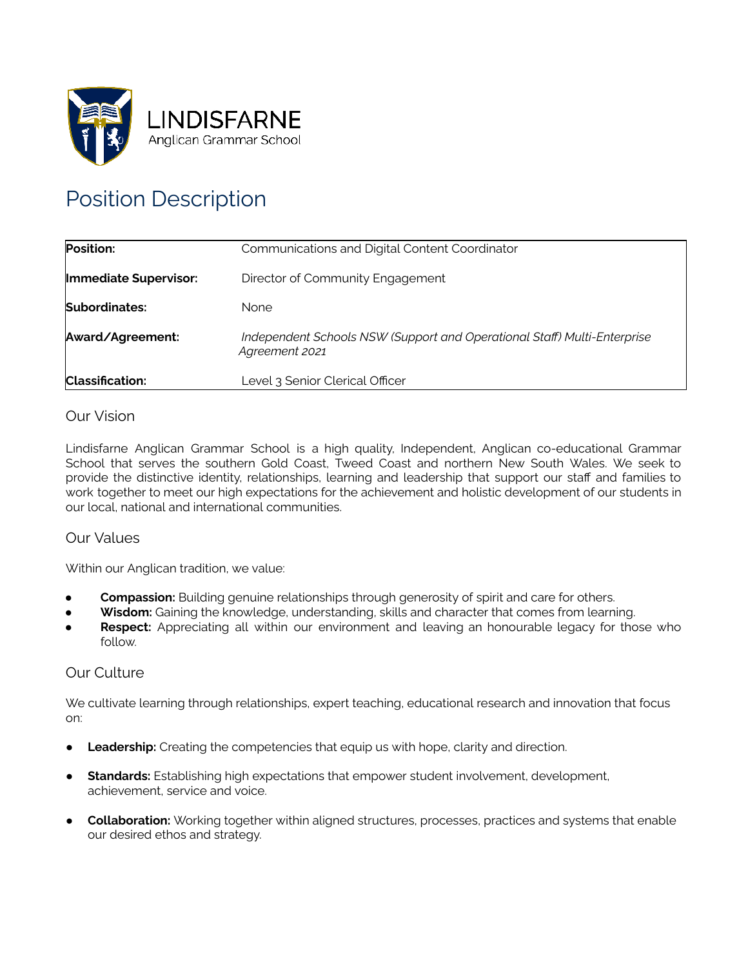

# Position Description

| Position:              | Communications and Digital Content Coordinator                                             |
|------------------------|--------------------------------------------------------------------------------------------|
| Immediate Supervisor:  | Director of Community Engagement                                                           |
| Subordinates:          | <b>None</b>                                                                                |
| Award/Agreement:       | Independent Schools NSW (Support and Operational Staff) Multi-Enterprise<br>Agreement 2021 |
| <b>Classification:</b> | Level 3 Senior Clerical Officer                                                            |

# Our Vision

 Lindisfarne Anglican Grammar School is a high quality, Independent, Anglican co-educational Grammar School that serves the southern Gold Coast, Tweed Coast and northern New South Wales. We seek to provide the distinctive identity, relationships, learning and leadership that support our staff and families to work together to meet our high expectations for the achievement and holistic development of our students in our local, national and international communities.

# Our Values

Within our Anglican tradition, we value:

- **Compassion:** Building genuine relationships through generosity of spirit and care for others.
- Wisdom: Gaining the knowledge, understanding, skills and character that comes from learning.
- **Respect:** Appreciating all within our environment and leaving an honourable legacy for those who follow.

## Our Culture

 We cultivate learning through relationships, expert teaching, educational research and innovation that focus on:

- **Leadership:** Creating the competencies that equip us with hope, clarity and direction.
- **Standards:** Establishing high expectations that empower student involvement, development, achievement, service and voice.
- **Collaboration:** Working together within aligned structures, processes, practices and systems that enable our desired ethos and strategy.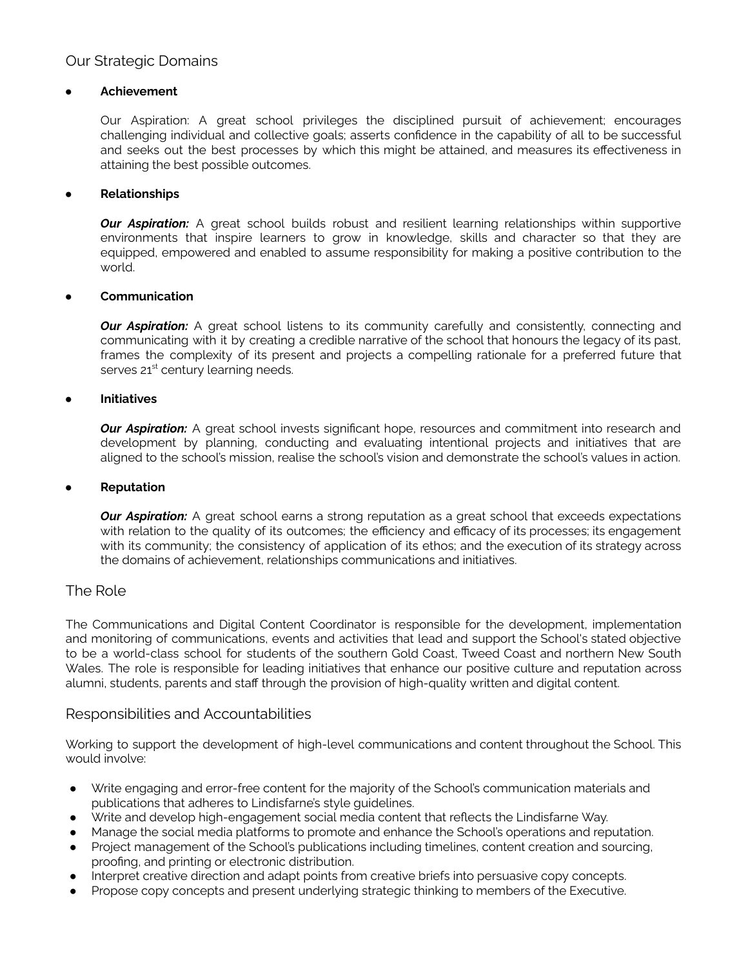## Our Strategic Domains

#### **● Achievement**

 Our Aspiration: A great school privileges the disciplined pursuit of achievement; encourages challenging individual and collective goals; asserts confidence in the capability of all to be successful and seeks out the best processes by which this might be attained, and measures its effectiveness in attaining the best possible outcomes.

#### **● Relationships**

*Our Aspiration:* A great school builds robust and resilient learning relationships within supportive environments that inspire learners to grow in knowledge, skills and character so that they are equipped, empowered and enabled to assume responsibility for making a positive contribution to the world.

#### **● Communication**

**Our Aspiration:** A great school listens to its community carefully and consistently, connecting and communicating with it by creating a credible narrative of the school that honours the legacy of its past, frames the complexity of its present and projects a compelling rationale for a preferred future that serves 21<sup>st</sup> century learning needs.

### **● Initiatives**

**Our Aspiration:** A great school invests significant hope, resources and commitment into research and development by planning, conducting and evaluating intentional projects and initiatives that are aligned to the school's mission, realise the school's vision and demonstrate the school's values in action.

#### **Reputation**

*Our Aspiration:* A great school earns a strong reputation as a great school that exceeds expectations with relation to the quality of its outcomes; the efficiency and efficacy of its processes; its engagement with its community; the consistency of application of its ethos; and the execution of its strategy across the domains of achievement, relationships communications and initiatives.

## The Role

 The Communications and Digital Content Coordinator is responsible for the development, implementation and monitoring of communications, events and activities that lead and support the School's stated objective to be a world-class school for students of the southern Gold Coast, Tweed Coast and northern New South Wales. The role is responsible for leading initiatives that enhance our positive culture and reputation across alumni, students, parents and staff through the provision of high-quality written and digital content.

## Responsibilities and Accountabilities

 Working to support the development of high-level communications and content throughout the School. This would involve:

- Write engaging and error-free content for the majority of the School's communication materials and publications that adheres to Lindisfarne's style guidelines.
- Write and develop high-engagement social media content that reflects the Lindisfarne Way.
- Manage the social media platforms to promote and enhance the School's operations and reputation.
- Project management of the School's publications including timelines, content creation and sourcing, proofing, and printing or electronic distribution.
- Interpret creative direction and adapt points from creative briefs into persuasive copy concepts.
- Propose copy concepts and present underlying strategic thinking to members of the Executive.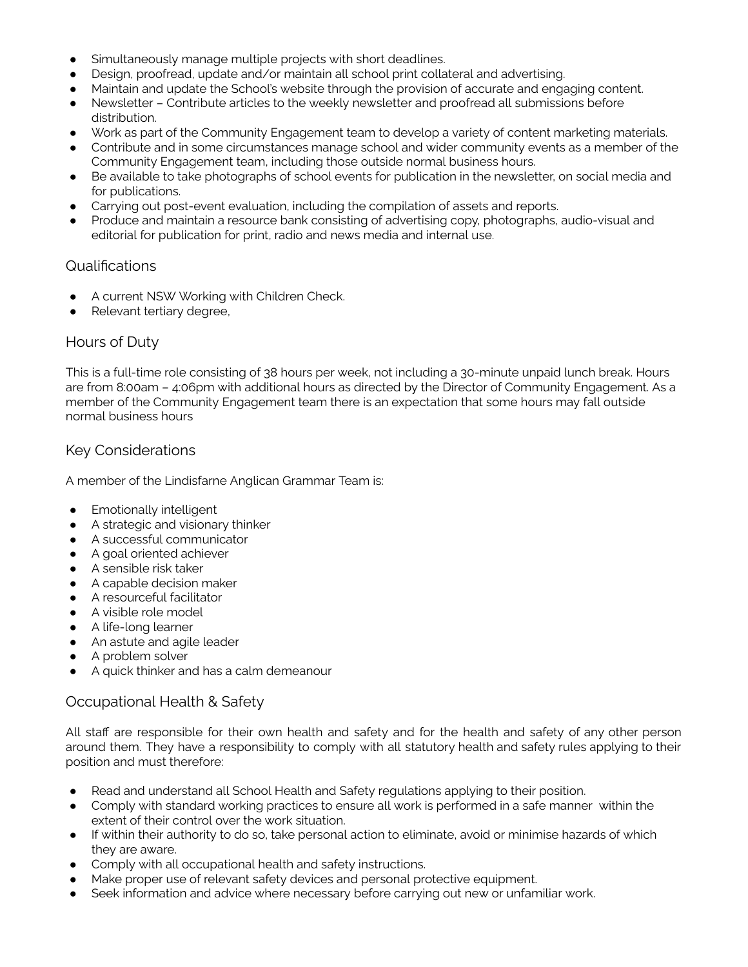- Simultaneously manage multiple projects with short deadlines.
- Design, proofread, update and/or maintain all school print collateral and advertising.
- Maintain and update the School's website through the provision of accurate and engaging content.
- Newsletter Contribute articles to the weekly newsletter and proofread all submissions before distribution.
- Work as part of the Community Engagement team to develop a variety of content marketing materials.
- Contribute and in some circumstances manage school and wider community events as a member of the Community Engagement team, including those outside normal business hours.
- Be available to take photographs of school events for publication in the newsletter, on social media and for publications.
- Carrying out post-event evaluation, including the compilation of assets and reports.
- Produce and maintain a resource bank consisting of advertising copy, photographs, audio-visual and editorial for publication for print, radio and news media and internal use.

# Qualifications

- A current NSW Working with Children Check.
- Relevant tertiary degree,

## Hours of Duty

 This is a full-time role consisting of 38 hours per week, not including a 30-minute unpaid lunch break. Hours are from 8:00am – 4:06pm with additional hours as directed by the Director of Community Engagement. As a member of the Community Engagement team there is an expectation that some hours may fall outside normal business hours

# Key Considerations

A member of the Lindisfarne Anglican Grammar Team is:

- **•** Emotionally intelligent
- A strategic and visionary thinker
- A successful communicator
- A goal oriented achiever
- A sensible risk taker
- A capable decision maker
- A resourceful facilitator
- A visible role model
- A life-long learner
- An astute and agile leader
- A problem solver
- A quick thinker and has a calm demeanour

# Occupational Health & Safety

 All staff are responsible for their own health and safety and for the health and safety of any other person around them. They have a responsibility to comply with all statutory health and safety rules applying to their position and must therefore:

- Read and understand all School Health and Safety regulations applying to their position.
- Comply with standard working practices to ensure all work is performed in a safe manner within the extent of their control over the work situation.
- If within their authority to do so, take personal action to eliminate, avoid or minimise hazards of which they are aware.
- Comply with all occupational health and safety instructions.
- Make proper use of relevant safety devices and personal protective equipment.
- Seek information and advice where necessary before carrying out new or unfamiliar work.